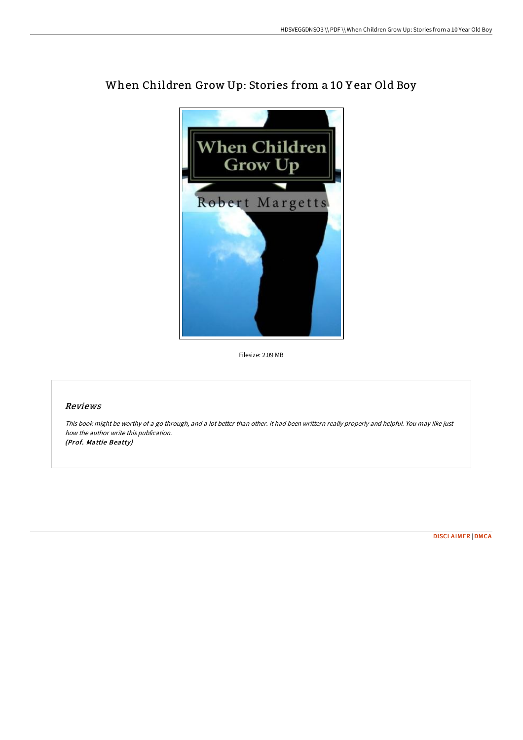

# When Children Grow Up: Stories from a 10 Y ear Old Boy

Filesize: 2.09 MB

## Reviews

This book might be worthy of <sup>a</sup> go through, and <sup>a</sup> lot better than other. it had been writtern really properly and helpful. You may like just how the author write this publication. (Prof. Mattie Beatty)

[DISCLAIMER](http://techno-pub.tech/disclaimer.html) | [DMCA](http://techno-pub.tech/dmca.html)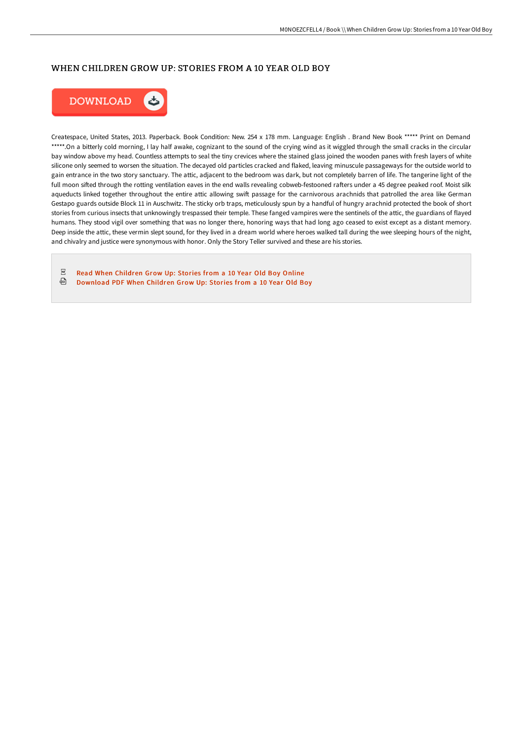## WHEN CHILDREN GROW UP: STORIES FROM A 10 YEAR OLD BOY



Createspace, United States, 2013. Paperback. Book Condition: New. 254 x 178 mm. Language: English . Brand New Book \*\*\*\*\* Print on Demand \*\*\*\*\*.On a bitterly cold morning, I lay half awake, cognizant to the sound of the crying wind as it wiggled through the small cracks in the circular bay window above my head. Countless attempts to seal the tiny crevices where the stained glass joined the wooden panes with fresh layers of white silicone only seemed to worsen the situation. The decayed old particles cracked and flaked, leaving minuscule passageways for the outside world to gain entrance in the two story sanctuary. The attic, adjacent to the bedroom was dark, but not completely barren of life. The tangerine light of the full moon sifted through the rotting ventilation eaves in the end walls revealing cobweb-festooned rafters under a 45 degree peaked roof. Moist silk aqueducts linked together throughout the entire attic allowing swift passage for the carnivorous arachnids that patrolled the area like German Gestapo guards outside Block 11 in Auschwitz. The sticky orb traps, meticulously spun by a handful of hungry arachnid protected the book of short stories from curious insects that unknowingly trespassed their temple. These fanged vampires were the sentinels of the attic, the guardians of flayed humans. They stood vigil over something that was no longer there, honoring ways that had long ago ceased to exist except as a distant memory. Deep inside the attic, these vermin slept sound, for they lived in a dream world where heroes walked tall during the wee sleeping hours of the night, and chivalry and justice were synonymous with honor. Only the Story Teller survived and these are his stories.

 $_{\rm PDF}$ Read When [Children](http://techno-pub.tech/when-children-grow-up-stories-from-a-10-year-old.html) Grow Up: Stories from a 10 Year Old Boy Online ⊕ [Download](http://techno-pub.tech/when-children-grow-up-stories-from-a-10-year-old.html) PDF When Children Grow Up: Stories from a 10 Year Old Boy